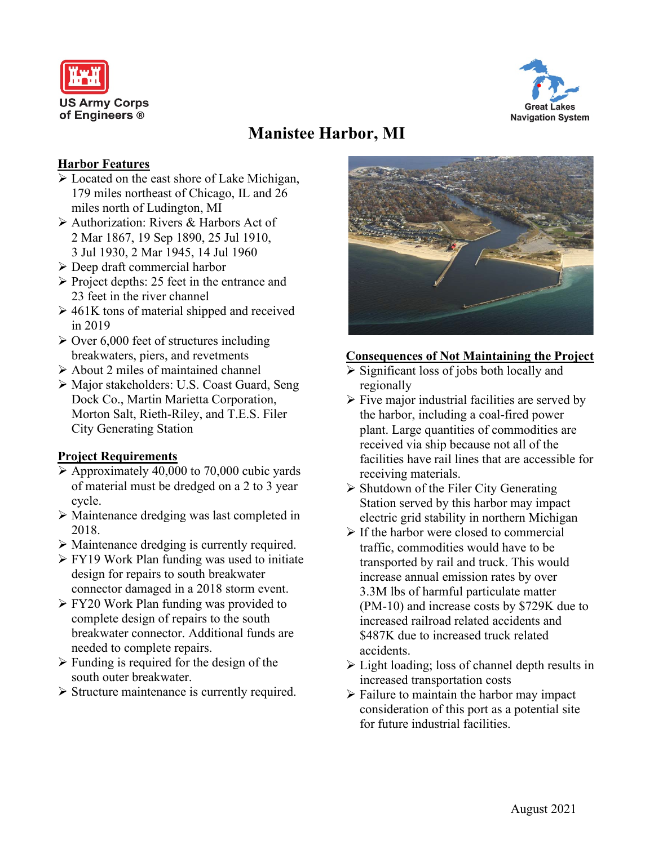



# **Manistee Harbor, MI**

#### **Harbor Features**

- $\triangleright$  Located on the east shore of Lake Michigan, 179 miles northeast of Chicago, IL and 26 miles north of Ludington, MI
- Authorization: Rivers & Harbors Act of 2 Mar 1867, 19 Sep 1890, 25 Jul 1910, 3 Jul 1930, 2 Mar 1945, 14 Jul 1960
- Deep draft commercial harbor
- $\triangleright$  Project depths: 25 feet in the entrance and 23 feet in the river channel
- $\geq 461$ K tons of material shipped and received in 2019
- $\geq$  Over 6,000 feet of structures including breakwaters, piers, and revetments
- About 2 miles of maintained channel
- Major stakeholders: U.S. Coast Guard, Seng Dock Co., Martin Marietta Corporation, Morton Salt, Rieth-Riley, and T.E.S. Filer City Generating Station

### **Project Requirements**

- $\triangleright$  Approximately 40,000 to 70,000 cubic yards of material must be dredged on a 2 to 3 year cycle.
- Maintenance dredging was last completed in 2018.
- Maintenance dredging is currently required.
- **FY19 Work Plan funding was used to initiate** design for repairs to south breakwater connector damaged in a 2018 storm event.
- $\triangleright$  FY20 Work Plan funding was provided to complete design of repairs to the south breakwater connector. Additional funds are needed to complete repairs.
- $\triangleright$  Funding is required for the design of the south outer breakwater.
- $\triangleright$  Structure maintenance is currently required.



### **Consequences of Not Maintaining the Project**

- $\triangleright$  Significant loss of jobs both locally and regionally
- $\triangleright$  Five major industrial facilities are served by the harbor, including a coal-fired power plant. Large quantities of commodities are received via ship because not all of the facilities have rail lines that are accessible for receiving materials.
- Shutdown of the Filer City Generating Station served by this harbor may impact electric grid stability in northern Michigan
- $\triangleright$  If the harbor were closed to commercial traffic, commodities would have to be transported by rail and truck. This would increase annual emission rates by over 3.3M lbs of harmful particulate matter (PM-10) and increase costs by \$729K due to increased railroad related accidents and \$487K due to increased truck related accidents.
- $\triangleright$  Light loading; loss of channel depth results in increased transportation costs
- $\triangleright$  Failure to maintain the harbor may impact consideration of this port as a potential site for future industrial facilities.